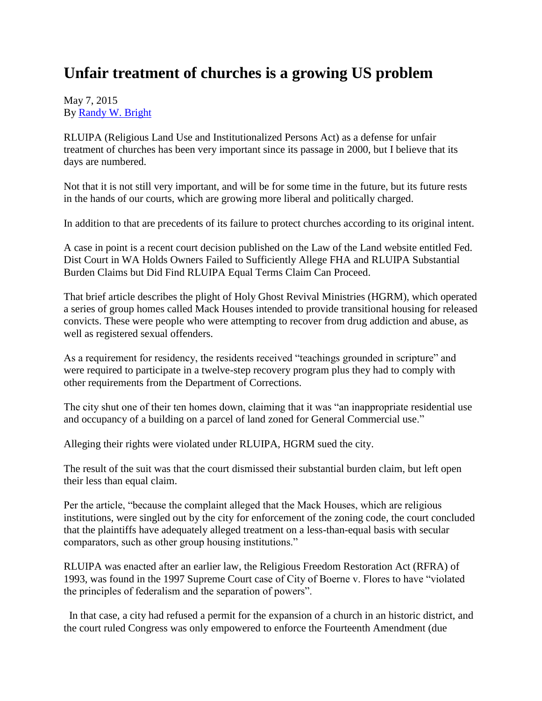## **Unfair treatment of churches is a growing US problem**

## May 7, 2015 By [Randy W. Bright](http://www.tulsabeacon.com/author/slug-o6yd1v)

RLUIPA (Religious Land Use and Institutionalized Persons Act) as a defense for unfair treatment of churches has been very important since its passage in 2000, but I believe that its days are numbered.

Not that it is not still very important, and will be for some time in the future, but its future rests in the hands of our courts, which are growing more liberal and politically charged.

In addition to that are precedents of its failure to protect churches according to its original intent.

A case in point is a recent court decision published on the Law of the Land website entitled Fed. Dist Court in WA Holds Owners Failed to Sufficiently Allege FHA and RLUIPA Substantial Burden Claims but Did Find RLUIPA Equal Terms Claim Can Proceed.

That brief article describes the plight of Holy Ghost Revival Ministries (HGRM), which operated a series of group homes called Mack Houses intended to provide transitional housing for released convicts. These were people who were attempting to recover from drug addiction and abuse, as well as registered sexual offenders.

As a requirement for residency, the residents received "teachings grounded in scripture" and were required to participate in a twelve-step recovery program plus they had to comply with other requirements from the Department of Corrections.

The city shut one of their ten homes down, claiming that it was "an inappropriate residential use and occupancy of a building on a parcel of land zoned for General Commercial use."

Alleging their rights were violated under RLUIPA, HGRM sued the city.

The result of the suit was that the court dismissed their substantial burden claim, but left open their less than equal claim.

Per the article, "because the complaint alleged that the Mack Houses, which are religious institutions, were singled out by the city for enforcement of the zoning code, the court concluded that the plaintiffs have adequately alleged treatment on a less-than-equal basis with secular comparators, such as other group housing institutions."

RLUIPA was enacted after an earlier law, the Religious Freedom Restoration Act (RFRA) of 1993, was found in the 1997 Supreme Court case of City of Boerne v. Flores to have "violated the principles of federalism and the separation of powers".

In that case, a city had refused a permit for the expansion of a church in an historic district, and the court ruled Congress was only empowered to enforce the Fourteenth Amendment (due